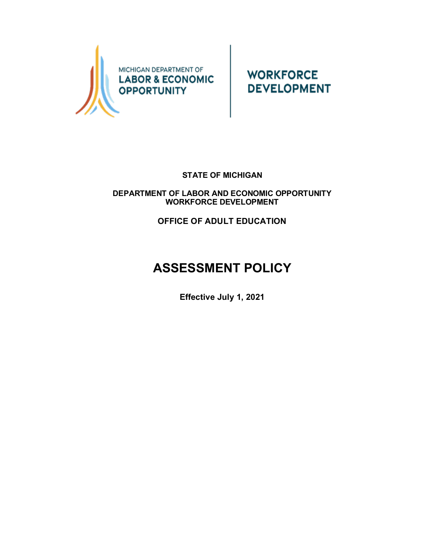

**WORKFORCE DEVELOPMENT** 

## **STATE OF MICHIGAN**

**DEPARTMENT OF LABOR AND ECONOMIC OPPORTUNITY WORKFORCE DEVELOPMENT**

**OFFICE OF ADULT EDUCATION**

## **ASSESSMENT POLICY**

**Effective July 1, 2021**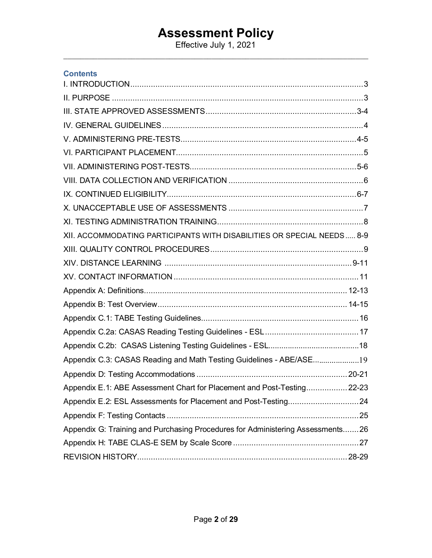Effective July 1, 2021  $\_$  , and the set of the set of the set of the set of the set of the set of the set of the set of the set of the set of the set of the set of the set of the set of the set of the set of the set of the set of the set of th

<span id="page-1-0"></span>

| <b>Contents</b>                                                                |
|--------------------------------------------------------------------------------|
|                                                                                |
|                                                                                |
|                                                                                |
|                                                                                |
|                                                                                |
|                                                                                |
|                                                                                |
|                                                                                |
|                                                                                |
|                                                                                |
|                                                                                |
| XII. ACCOMMODATING PARTICIPANTS WITH DISABILITIES OR SPECIAL NEEDS 8-9         |
|                                                                                |
|                                                                                |
|                                                                                |
|                                                                                |
|                                                                                |
|                                                                                |
|                                                                                |
|                                                                                |
| Appendix C.3: CASAS Reading and Math Testing Guidelines - ABE/ASE19            |
|                                                                                |
| Appendix E.1: ABE Assessment Chart for Placement and Post-Testing 22-23        |
|                                                                                |
|                                                                                |
| Appendix G: Training and Purchasing Procedures for Administering Assessments26 |
|                                                                                |
|                                                                                |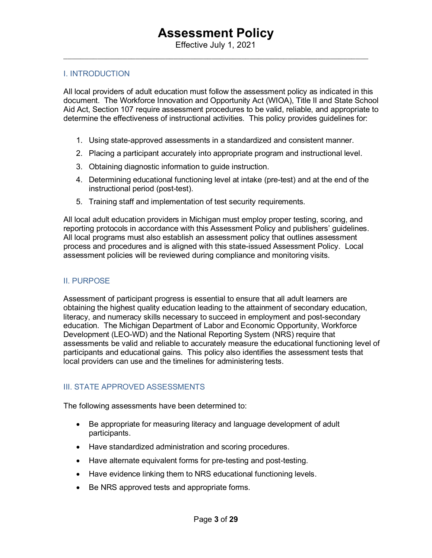### I. INTRODUCTION

All local providers of adult education must follow the assessment policy as indicated in this document. The Workforce Innovation and Opportunity Act (WIOA), Title II and State School Aid Act, Section 107 require assessment procedures to be valid, reliable, and appropriate to determine the effectiveness of instructional activities. This policy provides guidelines for:

- 1. Using state-approved assessments in a standardized and consistent manner.
- 2. Placing a participant accurately into appropriate program and instructional level.
- 3. Obtaining diagnostic information to guide instruction.
- 4. Determining educational functioning level at intake (pre-test) and at the end of the instructional period (post-test).
- 5. Training staff and implementation of test security requirements.

All local adult education providers in Michigan must employ proper testing, scoring, and reporting protocols in accordance with this Assessment Policy and publishers' guidelines. All local programs must also establish an assessment policy that outlines assessment process and procedures and is aligned with this state-issued Assessment Policy. Local assessment policies will be reviewed during compliance and monitoring visits.

#### <span id="page-2-0"></span>II. PURPOSE

Assessment of participant progress is essential to ensure that all adult learners are obtaining the highest quality education leading to the attainment of secondary education, literacy, and numeracy skills necessary to succeed in employment and post-secondary education. The Michigan Department of Labor and Economic Opportunity, Workforce Development (LEO-WD) and the National Reporting System (NRS) require that assessments be valid and reliable to accurately measure the educational functioning level of participants and educational gains. This policy also identifies the assessment tests that local providers can use and the timelines for administering tests.

## <span id="page-2-1"></span>III. STATE APPROVED ASSESSMENTS

The following assessments have been determined to:

- Be appropriate for measuring literacy and language development of adult participants.
- Have standardized administration and scoring procedures.
- Have alternate equivalent forms for pre-testing and post-testing.
- Have evidence linking them to NRS educational functioning levels.
- Be NRS approved tests and appropriate forms.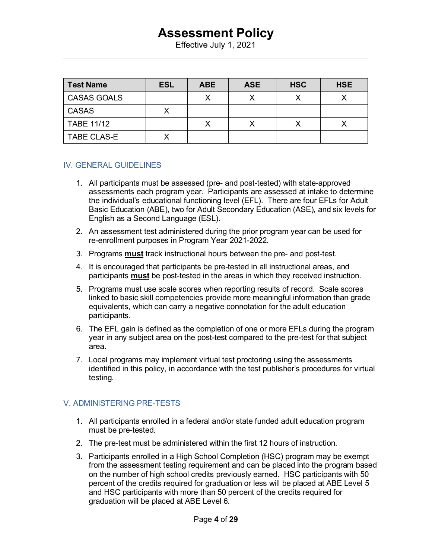Effective July 1, 2021  $\_$  , and the set of the set of the set of the set of the set of the set of the set of the set of the set of the set of the set of the set of the set of the set of the set of the set of the set of the set of the set of th

| <b>Test Name</b>   | <b>ESL</b> | <b>ABE</b> | <b>ASE</b> | <b>HSC</b> | <b>HSE</b> |
|--------------------|------------|------------|------------|------------|------------|
| <b>CASAS GOALS</b> |            |            |            |            |            |
| <b>CASAS</b>       |            |            |            |            |            |
| <b>TABE 11/12</b>  |            |            |            |            |            |
| <b>TABE CLAS-E</b> |            |            |            |            |            |

## <span id="page-3-0"></span>IV. GENERAL GUIDELINES

- 1. All participants must be assessed (pre- and post-tested) with state-approved assessments each program year. Participants are assessed at intake to determine the individual's educational functioning level (EFL). There are four EFLs for Adult Basic Education (ABE), two for Adult Secondary Education (ASE), and six levels for English as a Second Language (ESL).
- 2. An assessment test administered during the prior program year can be used for re-enrollment purposes in Program Year 2021-2022.
- 3. Programs **must** track instructional hours between the pre- and post-test.
- 4. It is encouraged that participants be pre-tested in all instructional areas, and participants **must** be post-tested in the areas in which they received instruction.
- 5. Programs must use scale scores when reporting results of record. Scale scores linked to basic skill competencies provide more meaningful information than grade equivalents, which can carry a negative connotation for the adult education participants.
- 6. The EFL gain is defined as the completion of one or more EFLs during the program year in any subject area on the post-test compared to the pre-test for that subject area.
- 7. Local programs may implement virtual test proctoring using the assessments identified in this policy, in accordance with the test publisher's procedures for virtual testing.

## <span id="page-3-1"></span>V. ADMINISTERING PRE-TESTS

- 1. All participants enrolled in a federal and/or state funded adult education program must be pre-tested.
- 2. The pre-test must be administered within the first 12 hours of instruction.
- 3. Participants enrolled in a High School Completion (HSC) program may be exempt from the assessment testing requirement and can be placed into the program based on the number of high school credits previously earned. HSC participants with 50 percent of the credits required for graduation or less will be placed at ABE Level 5 and HSC participants with more than 50 percent of the credits required for graduation will be placed at ABE Level 6.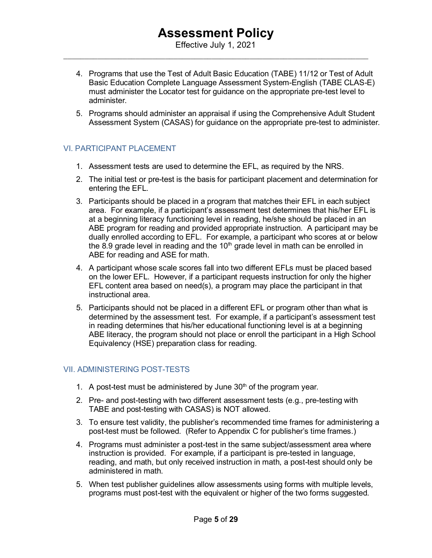Effective July 1, 2021  $\_$  , and the set of the set of the set of the set of the set of the set of the set of the set of the set of the set of the set of the set of the set of the set of the set of the set of the set of the set of the set of th

- 4. Programs that use the Test of Adult Basic Education (TABE) 11/12 or Test of Adult Basic Education Complete Language Assessment System-English (TABE CLAS-E) must administer the Locator test for guidance on the appropriate pre-test level to administer.
- <span id="page-4-0"></span>5. Programs should administer an appraisal if using the Comprehensive Adult Student Assessment System (CASAS) for guidance on the appropriate pre-test to administer.

## VI. PARTICIPANT PLACEMENT

- 1. Assessment tests are used to determine the EFL, as required by the NRS.
- 2. The initial test or pre-test is the basis for participant placement and determination for entering the EFL.
- 3. Participants should be placed in a program that matches their EFL in each subject area. For example, if a participant's assessment test determines that his/her EFL is at a beginning literacy functioning level in reading, he/she should be placed in an ABE program for reading and provided appropriate instruction. A participant may be dually enrolled according to EFL. For example, a participant who scores at or below the  $8.9$  grade level in reading and the  $10<sup>th</sup>$  grade level in math can be enrolled in ABE for reading and ASE for math.
- 4. A participant whose scale scores fall into two different EFLs must be placed based on the lower EFL. However, if a participant requests instruction for only the higher EFL content area based on need(s), a program may place the participant in that instructional area.
- 5. Participants should not be placed in a different EFL or program other than what is determined by the assessment test. For example, if a participant's assessment test in reading determines that his/her educational functioning level is at a beginning ABE literacy, the program should not place or enroll the participant in a High School Equivalency (HSE) preparation class for reading.

## <span id="page-4-1"></span>VII. ADMINISTERING POST-TESTS

- 1. A post-test must be administered by June  $30<sup>th</sup>$  of the program year.
- 2. Pre- and post-testing with two different assessment tests (e.g., pre-testing with TABE and post-testing with CASAS) is NOT allowed.
- 3. To ensure test validity, the publisher's recommended time frames for administering a post-test must be followed. (Refer to Appendix C for publisher's time frames.)
- 4. Programs must administer a post-test in the same subject/assessment area where instruction is provided. For example, if a participant is pre-tested in language, reading, and math, but only received instruction in math, a post-test should only be administered in math.
- 5. When test publisher guidelines allow assessments using forms with multiple levels, programs must post-test with the equivalent or higher of the two forms suggested.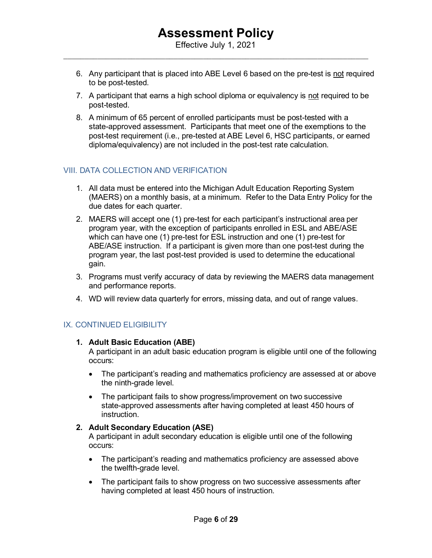- 6. Any participant that is placed into ABE Level 6 based on the pre-test is not required to be post-tested.
- 7. A participant that earns a high school diploma or equivalency is not required to be post-tested.
- 8. A minimum of 65 percent of enrolled participants must be post-tested with a state-approved assessment. Participants that meet one of the exemptions to the post-test requirement (i.e., pre-tested at ABE Level 6, HSC participants, or earned diploma/equivalency) are not included in the post-test rate calculation.

## <span id="page-5-0"></span>VIII. DATA COLLECTION AND VERIFICATION

- 1. All data must be entered into the Michigan Adult Education Reporting System (MAERS) on a monthly basis, at a minimum. Refer t[o the Data Entry](http://www.michigan.gov/adulteducation) Policy for the due dates for each quarter.
- 2. MAERS will accept one (1) pre-test for each participant's instructional area per program year, with the exception of participants enrolled in ESL and ABE/ASE which can have one (1) pre-test for ESL instruction and one (1) pre-test for ABE/ASE instruction. If a participant is given more than one post-test during the program year, the last post-test provided is used to determine the educational gain.
- 3. Programs must verify accuracy of data by reviewing the MAERS data management and performance reports.
- 4. WD will review data quarterly for errors, missing data, and out of range values.

## <span id="page-5-1"></span>IX. CONTINUED ELIGIBILITY

## **1. Adult Basic Education (ABE)**

A participant in an adult basic education program is eligible until one of the following occurs:

- The participant's reading and mathematics proficiency are assessed at or above the ninth-grade level.
- The participant fails to show progress/improvement on two successive state-approved assessments after having completed at least 450 hours of instruction.

## **2. Adult Secondary Education (ASE)**

A participant in adult secondary education is eligible until one of the following occurs:

- The participant's reading and mathematics proficiency are assessed above the twelfth-grade level.
- The participant fails to show progress on two successive assessments after having completed at least 450 hours of instruction.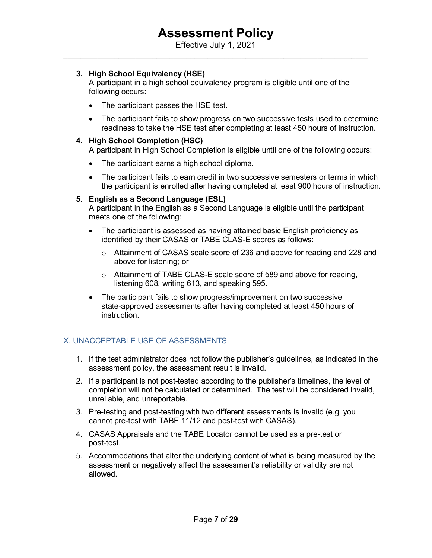Effective July 1, 2021  $\_$  , and the set of the set of the set of the set of the set of the set of the set of the set of the set of the set of the set of the set of the set of the set of the set of the set of the set of the set of the set of th

## **3. High School Equivalency (HSE)**

A participant in a high school equivalency program is eligible until one of the following occurs:

- The participant passes the HSE test.
- The participant fails to show progress on two successive tests used to determine readiness to take the HSE test after completing at least 450 hours of instruction.

### **4. High School Completion (HSC)**

A participant in High School Completion is eligible until one of the following occurs:

- The participant earns a high school diploma.
- The participant fails to earn credit in two successive semesters or terms in which the participant is enrolled after having completed at least 900 hours of instruction.

## **5. English as a Second Language (ESL)**

A participant in the English as a Second Language is eligible until the participant meets one of the following:

- The participant is assessed as having attained basic English proficiency as identified by their CASAS or TABE CLAS-E scores as follows:
	- $\circ$  Attainment of CASAS scale score of 236 and above for reading and 228 and above for listening; or
	- o Attainment of TABE CLAS-E scale score of 589 and above for reading, listening 608, writing 613, and speaking 595.
- The participant fails to show progress/improvement on two successive state-approved assessments after having completed at least 450 hours of instruction.

## <span id="page-6-0"></span>X. UNACCEPTABLE USE OF ASSESSMENTS

- 1. If the test administrator does not follow the publisher's guidelines, as indicated in the assessment policy, the assessment result is invalid.
- 2. If a participant is not post-tested according to the publisher's timelines, the level of completion will not be calculated or determined. The test will be considered invalid, unreliable, and unreportable.
- 3. Pre-testing and post-testing with two different assessments is invalid (e.g. you cannot pre-test with TABE 11/12 and post-test with CASAS).
- 4. CASAS Appraisals and the TABE Locator cannot be used as a pre-test or post-test.
- 5. Accommodations that alter the underlying content of what is being measured by the assessment or negatively affect the assessment's reliability or validity are not allowed.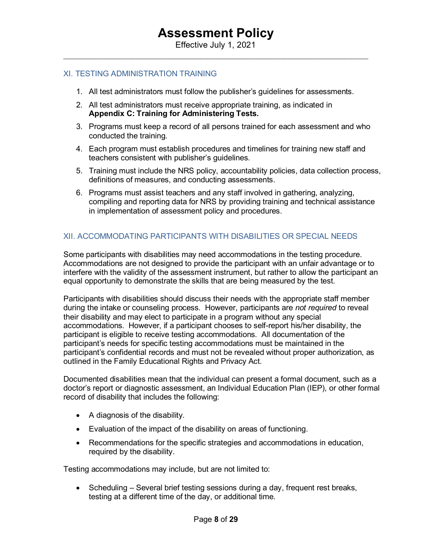### <span id="page-7-0"></span>XI. TESTING ADMINISTRATION TRAINING

- 1. All test administrators must follow the publisher's guidelines for assessments.
- 2. All test administrators must receive appropriate training, as indicated in **Appendix C: Training for Administering Tests.**
- 3. Programs must keep a record of all persons trained for each assessment and who conducted the training.
- 4. Each program must establish procedures and timelines for training new staff and teachers consistent with publisher's guidelines.
- 5. Training must include the NRS policy, accountability policies, data collection process, definitions of measures, and conducting assessments.
- 6. Programs must assist teachers and any staff involved in gathering, analyzing, compiling and reporting data for NRS by providing training and technical assistance in implementation of assessment policy and procedures.

## <span id="page-7-1"></span>XII. ACCOMMODATING PARTICIPANTS WITH DISABILITIES OR SPECIAL NEEDS

Some participants with disabilities may need accommodations in the testing procedure. Accommodations are not designed to provide the participant with an unfair advantage or to interfere with the validity of the assessment instrument, but rather to allow the participant an equal opportunity to demonstrate the skills that are being measured by the test.

Participants with disabilities should discuss their needs with the appropriate staff member during the intake or counseling process. However, participants are *not required* to reveal their disability and may elect to participate in a program without any special accommodations. However, if a participant chooses to self-report his/her disability, the participant is eligible to receive testing accommodations. All documentation of the participant's needs for specific testing accommodations must be maintained in the participant's confidential records and must not be revealed without proper authorization, as outlined in the Family Educational Rights and Privacy Act.

Documented disabilities mean that the individual can present a formal document, such as a doctor's report or diagnostic assessment, an Individual Education Plan (IEP), or other formal record of disability that includes the following:

- A diagnosis of the disability.
- Evaluation of the impact of the disability on areas of functioning.
- Recommendations for the specific strategies and accommodations in education, required by the disability.

Testing accommodations may include, but are not limited to:

• Scheduling – Several brief testing sessions during a day, frequent rest breaks, testing at a different time of the day, or additional time.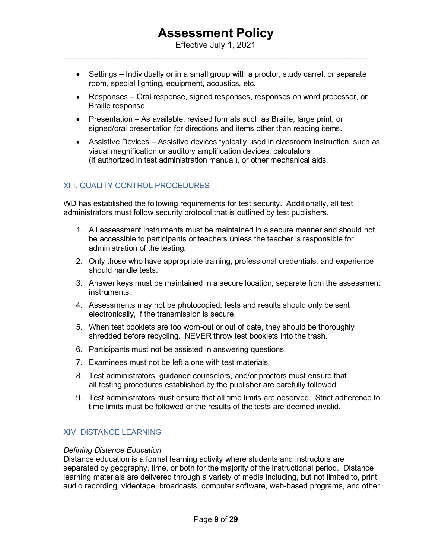Effective July 1, 2021  $\_$  , and the set of the set of the set of the set of the set of the set of the set of the set of the set of the set of the set of the set of the set of the set of the set of the set of the set of the set of the set of th

- Settings Individually or in a small group with a proctor, study carrel, or separate room, special lighting, equipment, acoustics, etc.
- Responses Oral response, signed responses, responses on word processor, or Braille response.
- Presentation As available, revised formats such as Braille, large print, or signed/oral presentation for directions and items other than reading items.
- Assistive Devices Assistive devices typically used in classroom instruction, such as visual magnification or auditory amplification devices, calculators (if authorized in test administration manual), or other mechanical aids.

## <span id="page-8-0"></span>XIII. QUALITY CONTROL PROCEDURES

WD has established the following requirements for test security. Additionally, all test administrators must follow security protocol that is outlined by test publishers.

- 1. All assessment instruments must be maintained in a secure manner and should not be accessible to participants or teachers unless the teacher is responsible for administration of the testing.
- 2. Only those who have appropriate training, professional credentials, and experience should handle tests.
- 3. Answer keys must be maintained in a secure location, separate from the assessment instruments.
- 4. Assessments may not be photocopied; tests and results should only be sent electronically, if the transmission is secure.
- 5. When test booklets are too worn-out or out of date, they should be thoroughly shredded before recycling. NEVER throw test booklets into the trash.
- 6. Participants must not be assisted in answering questions.
- 7. Examinees must not be left alone with test materials.
- 8. Test administrators, guidance counselors, and/or proctors must ensure that all testing procedures established by the publisher are carefully followed.
- <span id="page-8-1"></span>9. Test administrators must ensure that all time limits are observed. Strict adherence to time limits must be followed or the results of the tests are deemed invalid.

## XIV. DISTANCE LEARNING

#### *Defining Distance Education*

Distance education is a formal learning activity where students and instructors are separated by geography, time, or both for the majority of the instructional period. Distance learning materials are delivered through a variety of media including, but not limited to, print, audio recording, videotape, broadcasts, computer software, web-based programs, and other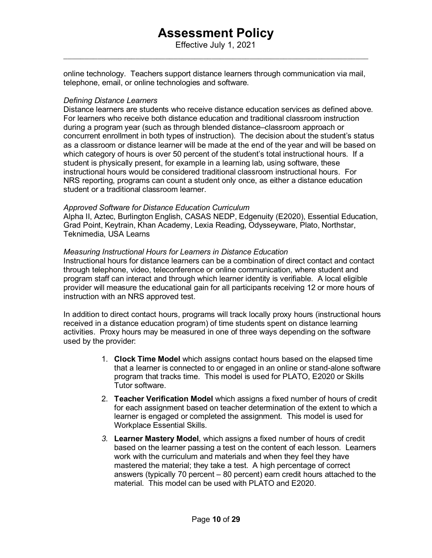Effective July 1, 2021  $\_$  , and the set of the set of the set of the set of the set of the set of the set of the set of the set of the set of the set of the set of the set of the set of the set of the set of the set of the set of the set of th

online technology. Teachers support distance learners through communication via mail, telephone, email, or online technologies and software.

### *Defining Distance Learners*

Distance learners are students who receive distance education services as defined above. For learners who receive both distance education and traditional classroom instruction during a program year (such as through blended distance–classroom approach or concurrent enrollment in both types of instruction). The decision about the student's status as a classroom or distance learner will be made at the end of the year and will be based on which category of hours is over 50 percent of the student's total instructional hours. If a student is physically present, for example in a learning lab, using software, these instructional hours would be considered traditional classroom instructional hours. For NRS reporting, programs can count a student only once, as either a distance education student or a traditional classroom learner.

#### *Approved Software for Distance Education Curriculum*

Alpha II, Aztec, Burlington English, CASAS NEDP, Edgenuity (E2020), Essential Education, Grad Point, Keytrain, Khan Academy, Lexia Reading, Odysseyware, Plato, Northstar, Teknimedia, USA Learns

### *Measuring Instructional Hours for Learners in Distance Education*

Instructional hours for distance learners can be a combination of direct contact and contact through telephone, video, teleconference or online communication, where student and program staff can interact and through which learner identity is verifiable. A local eligible provider will measure the educational gain for all participants receiving 12 or more hours of instruction with an NRS approved test.

In addition to direct contact hours, programs will track locally proxy hours (instructional hours received in a distance education program) of time students spent on distance learning activities. Proxy hours may be measured in one of three ways depending on the software used by the provider:

- 1. **Clock Time Model** which assigns contact hours based on the elapsed time that a learner is connected to or engaged in an online or stand-alone software program that tracks time. This model is used for PLATO, E2020 or Skills Tutor software.
- 2. **Teacher Verification Model** which assigns a fixed number of hours of credit for each assignment based on teacher determination of the extent to which a learner is engaged or completed the assignment. This model is used for Workplace Essential Skills.
- *3.* **Learner Mastery Model**, which assigns a fixed number of hours of credit based on the learner passing a test on the content of each lesson. Learners work with the curriculum and materials and when they feel they have mastered the material; they take a test. A high percentage of correct answers (typically 70 percent – 80 percent) earn credit hours attached to the material. This model can be used with PLATO and E2020.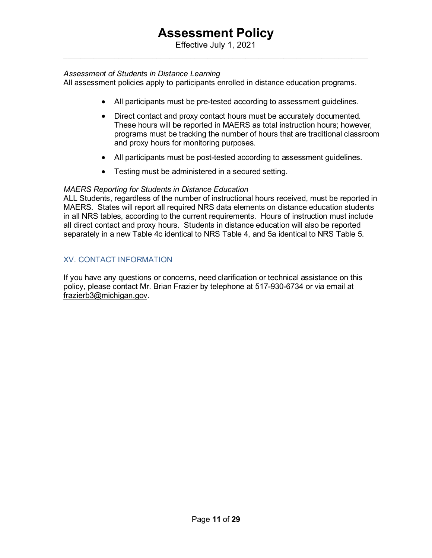Effective July 1, 2021  $\_$  , and the set of the set of the set of the set of the set of the set of the set of the set of the set of the set of the set of the set of the set of the set of the set of the set of the set of the set of the set of th

### *Assessment of Students in Distance Learning*

All assessment policies apply to participants enrolled in distance education programs.

- All participants must be pre-tested according to assessment guidelines.
- Direct contact and proxy contact hours must be accurately documented. These hours will be reported in MAERS as total instruction hours; however, programs must be tracking the number of hours that are traditional classroom and proxy hours for monitoring purposes.
- All participants must be post-tested according to assessment guidelines.
- Testing must be administered in a secured setting.

### *MAERS Reporting for Students in Distance Education*

ALL Students, regardless of the number of instructional hours received, must be reported in MAERS. States will report all required NRS data elements on distance education students in all NRS tables, according to the current requirements. Hours of instruction must include all direct contact and proxy hours. Students in distance education will also be reported separately in a new Table 4c identical to NRS Table 4, and 5a identical to NRS Table 5.

## XV. CONTACT INFORMATION

If you have any questions or concerns, need clarification or technical assistance on this policy, please contact Mr. Brian Frazier by telephone at 517-930-6734 or via email at [frazierb3@michigan.gov.](mailto:frazierb3@michigan.gov)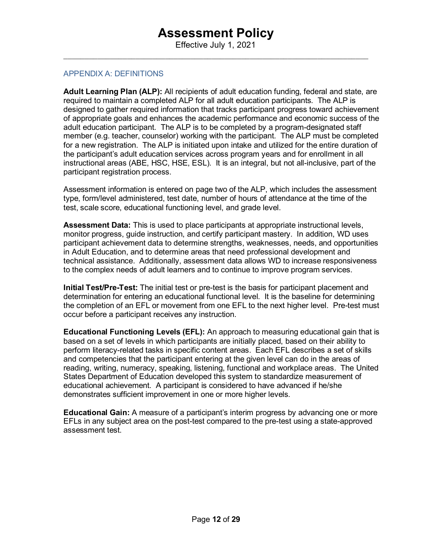### <span id="page-11-0"></span>APPENDIX A: DEFINITIONS

**Adult Learning Plan (ALP):** All recipients of adult education funding, federal and state, are required to maintain a completed ALP for all adult education participants. The ALP is designed to gather required information that tracks participant progress toward achievement of appropriate goals and enhances the academic performance and economic success of the adult education participant. The ALP is to be completed by a program-designated staff member (e.g. teacher, counselor) working with the participant. The ALP must be completed for a new registration. The ALP is initiated upon intake and utilized for the entire duration of the participant's adult education services across program years and for enrollment in all instructional areas (ABE, HSC, HSE, ESL). It is an integral, but not all-inclusive, part of the participant registration process.

Assessment information is entered on page two of the ALP, which includes the assessment type, form/level administered, test date, number of hours of attendance at the time of the test, scale score, educational functioning level, and grade level.

**Assessment Data:** This is used to place participants at appropriate instructional levels, monitor progress, guide instruction, and certify participant mastery. In addition, WD uses participant achievement data to determine strengths, weaknesses, needs, and opportunities in Adult Education, and to determine areas that need professional development and technical assistance. Additionally, assessment data allows WD to increase responsiveness to the complex needs of adult learners and to continue to improve program services.

**Initial Test/Pre-Test:** The initial test or pre-test is the basis for participant placement and determination for entering an educational functional level. It is the baseline for determining the completion of an EFL or movement from one EFL to the next higher level. Pre-test must occur before a participant receives any instruction.

**Educational Functioning Levels (EFL):** An approach to measuring educational gain that is based on a set of levels in which participants are initially placed, based on their ability to perform literacy-related tasks in specific content areas. Each EFL describes a set of skills and competencies that the participant entering at the given level can do in the areas of reading, writing, numeracy, speaking, listening, functional and workplace areas. The United States Department of Education developed this system to standardize measurement of educational achievement. A participant is considered to have advanced if he/she demonstrates sufficient improvement in one or more higher levels.

**Educational Gain:** A measure of a participant's interim progress by advancing one or more EFLs in any subject area on the post-test compared to the pre-test using a state-approved assessment test.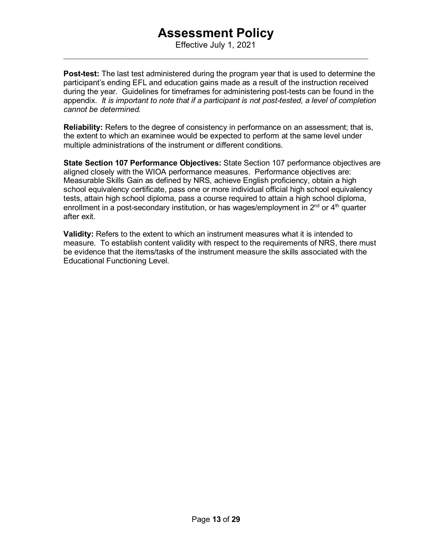Effective July 1, 2021  $\_$  , and the set of the set of the set of the set of the set of the set of the set of the set of the set of the set of the set of the set of the set of the set of the set of the set of the set of the set of the set of th

**Post-test:** The last test administered during the program year that is used to determine the participant's ending EFL and education gains made as a result of the instruction received during the year. Guidelines for timeframes for administering post-tests can be found in the appendix. *It is important to note that if a participant is not post-tested, a level of completion cannot be determined.*

**Reliability:** Refers to the degree of consistency in performance on an assessment; that is, the extent to which an examinee would be expected to perform at the same level under multiple administrations of the instrument or different conditions.

**State Section 107 Performance Objectives:** State Section 107 performance objectives are aligned closely with the WIOA performance measures. Performance objectives are: Measurable Skills Gain as defined by NRS, achieve English proficiency, obtain a high school equivalency certificate, pass one or more individual official high school equivalency tests, attain high school diploma, pass a course required to attain a high school diploma, enrollment in a post-secondary institution, or has wages/employment in  $2^{nd}$  or  $4^{th}$  quarter after exit.

**Validity:** Refers to the extent to which an instrument measures what it is intended to measure. To establish content validity with respect to the requirements of NRS, there must be evidence that the items/tasks of the instrument measure the skills associated with the Educational Functioning Level.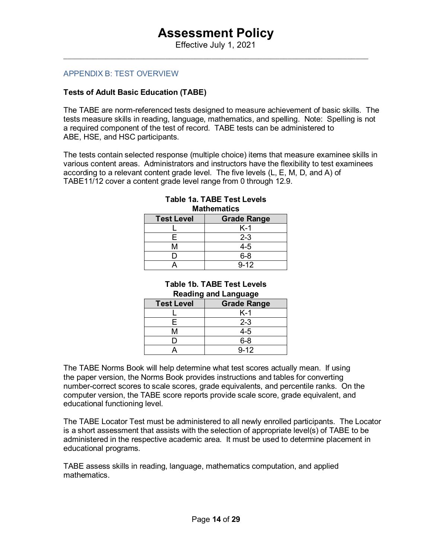### <span id="page-13-0"></span>APPENDIX B: TEST OVERVIEW

### **Tests of Adult Basic Education (TABE)**

The TABE are norm-referenced tests designed to measure achievement of basic skills. The tests measure skills in reading, language, mathematics, and spelling. Note: Spelling is not a required component of the test of record. TABE tests can be administered to ABE, HSE, and HSC participants.

The tests contain selected response (multiple choice) items that measure examinee skills in various content areas. Administrators and instructors have the flexibility to test examinees according to a relevant content grade level. The five levels (L, E, M, D, and A) of TABE11/12 cover a content grade level range from 0 through 12.9.

| <b>Test Level</b> | <b>Grade Range</b> |
|-------------------|--------------------|
|                   | $K-1$              |
| F.                | $2 - 3$            |
| M                 | $4 - 5$            |
|                   | $6 - 8$            |
|                   | $9 - 12$           |

### **Table 1a. TABE Test Levels Mathematics**

## **Table 1b. TABE Test Levels Reading and Language**

| <b>Test Level</b> | <b>Grade Range</b> |  |  |  |
|-------------------|--------------------|--|--|--|
|                   | $K-1$              |  |  |  |
| F                 | $2 - 3$            |  |  |  |
| Μ                 | $4 - 5$            |  |  |  |
|                   | $6 - 8$            |  |  |  |
|                   | $9 - 12$           |  |  |  |

The TABE Norms Book will help determine what test scores actually mean. If using the paper version, the Norms Book provides instructions and tables for converting number-correct scores to scale scores, grade equivalents, and percentile ranks. On the computer version, the TABE score reports provide scale score, grade equivalent, and educational functioning level.

The TABE Locator Test must be administered to all newly enrolled participants. The Locator is a short assessment that assists with the selection of appropriate level(s) of TABE to be administered in the respective academic area. It must be used to determine placement in educational programs.

TABE assess skills in reading, language, mathematics computation, and applied mathematics.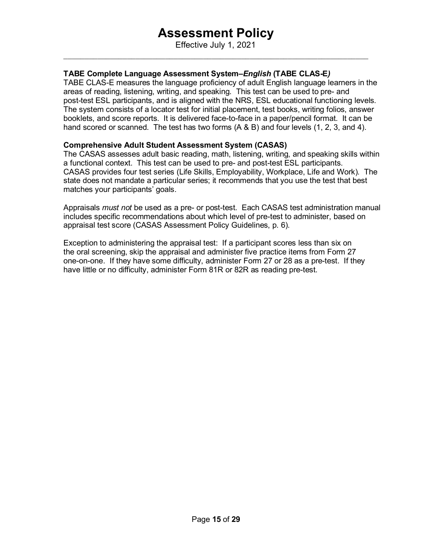Effective July 1, 2021  $\_$  , and the set of the set of the set of the set of the set of the set of the set of the set of the set of the set of the set of the set of the set of the set of the set of the set of the set of the set of the set of th

## **TABE Complete Language Assessment System***–English* **(TABE CLAS-E***)*

TABE CLAS-E measures the language proficiency of adult English language learners in the areas of reading, listening, writing, and speaking. This test can be used to pre- and post-test ESL participants, and is aligned with the NRS, ESL educational functioning levels. The system consists of a locator test for initial placement, test books, writing folios, answer booklets, and score reports. It is delivered face-to-face in a paper/pencil format. It can be hand scored or scanned. The test has two forms (A & B) and four levels (1, 2, 3, and 4).

## **Comprehensive Adult Student Assessment System (CASAS)**

The CASAS assesses adult basic reading, math, listening, writing, and speaking skills within a functional context. This test can be used to pre- and post-test ESL participants. CASAS provides four test series (Life Skills, Employability, Workplace, Life and Work). The state does not mandate a particular series; it recommends that you use the test that best matches your participants' goals.

Appraisals *must not* be used as a pre- or post-test. Each CASAS test administration manual includes specific recommendations about which level of pre-test to administer, based on appraisal test score (CASAS Assessment Policy Guidelines, p. 6).

<span id="page-14-0"></span>Exception to administering the appraisal test: If a participant scores less than six on the oral screening, skip the appraisal and administer five practice items from Form 27 one-on-one. If they have some difficulty, administer Form 27 or 28 as a pre-test. If they have little or no difficulty, administer Form 81R or 82R as reading pre-test.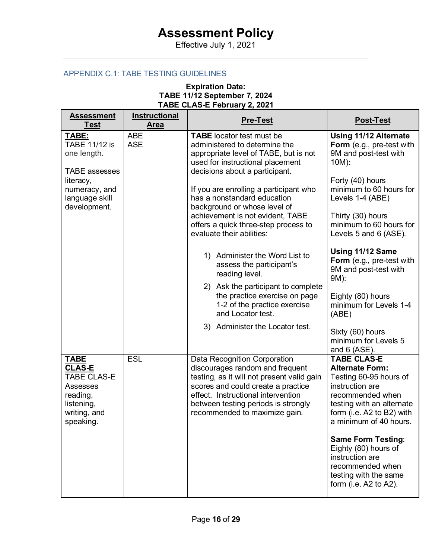Effective July 1, 2021  $\_$  , and the set of the set of the set of the set of the set of the set of the set of the set of the set of the set of the set of the set of the set of the set of the set of the set of the set of the set of the set of th

## APPENDIX C.1: TABE TESTING GUIDELINES

## **Expiration Date: TABE 11/12 September 7, 2024 TABE CLAS-E February 2, 2021**

| <b>Assessment</b><br><b>Test</b>                                                                                      | <b>Instructional</b><br><b>Area</b> | <b>Pre-Test</b>                                                                                                                                                                                                                                                   | <b>Post-Test</b>                                                                                                                                                                                  |
|-----------------------------------------------------------------------------------------------------------------------|-------------------------------------|-------------------------------------------------------------------------------------------------------------------------------------------------------------------------------------------------------------------------------------------------------------------|---------------------------------------------------------------------------------------------------------------------------------------------------------------------------------------------------|
| TABE:<br><b>TABE 11/12 is</b><br>one length.<br><b>TABE</b> assesses                                                  | <b>ABE</b><br><b>ASE</b>            | <b>TABE</b> locator test must be<br>administered to determine the<br>appropriate level of TABE, but is not<br>used for instructional placement<br>decisions about a participant.                                                                                  | <b>Using 11/12 Alternate</b><br><b>Form</b> (e.g., pre-test with<br>9M and post-test with<br>10M):                                                                                                |
| literacy,<br>numeracy, and<br>language skill<br>development.                                                          |                                     | If you are enrolling a participant who<br>has a nonstandard education<br>background or whose level of<br>achievement is not evident, TABE                                                                                                                         | Forty (40) hours<br>minimum to 60 hours for<br>Levels 1-4 (ABE)                                                                                                                                   |
|                                                                                                                       |                                     | offers a quick three-step process to<br>evaluate their abilities:                                                                                                                                                                                                 | Thirty (30) hours<br>minimum to 60 hours for<br>Levels 5 and 6 (ASE).                                                                                                                             |
|                                                                                                                       |                                     | 1) Administer the Word List to<br>assess the participant's<br>reading level.                                                                                                                                                                                      | Using 11/12 Same<br>Form (e.g., pre-test with<br>9M and post-test with<br>9M):                                                                                                                    |
|                                                                                                                       |                                     | 2) Ask the participant to complete<br>the practice exercise on page<br>1-2 of the practice exercise<br>and Locator test.                                                                                                                                          | Eighty (80) hours<br>minimum for Levels 1-4<br>(ABE)                                                                                                                                              |
|                                                                                                                       |                                     | 3) Administer the Locator test.                                                                                                                                                                                                                                   | Sixty (60) hours<br>minimum for Levels 5<br>and $6$ (ASE).                                                                                                                                        |
| <b>TABE</b><br><b>CLAS-E</b><br><b>TABE CLAS-E</b><br>Assesses<br>reading,<br>listening,<br>writing, and<br>speaking. | <b>ESL</b>                          | Data Recognition Corporation<br>discourages random and frequent<br>testing, as it will not present valid gain<br>scores and could create a practice<br>effect. Instructional intervention<br>between testing periods is strongly<br>recommended to maximize gain. | <b>TABE CLAS-E</b><br><b>Alternate Form:</b><br>Testing 60-95 hours of<br>instruction are<br>recommended when<br>testing with an alternate<br>form (i.e. A2 to B2) with<br>a minimum of 40 hours. |
|                                                                                                                       |                                     |                                                                                                                                                                                                                                                                   | <b>Same Form Testing:</b><br>Eighty (80) hours of<br>instruction are<br>recommended when<br>testing with the same<br>form (i.e. A2 to A2).                                                        |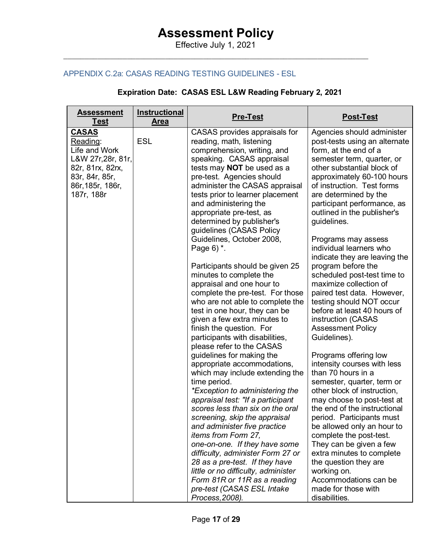Effective July 1, 2021  $\_$  , and the set of the set of the set of the set of the set of the set of the set of the set of the set of the set of the set of the set of the set of the set of the set of the set of the set of the set of the set of th

## <span id="page-16-0"></span>APPENDIX C.2a: CASAS READING TESTING GUIDELINES - ESL

## **Expiration Date: CASAS ESL L&W Reading February 2, 2021**

| <b>Assessment</b><br><b>Test</b>                                                                                                        | <b>Instructional</b><br><b>Area</b> | <b>Pre-Test</b>                                                                                                                                                                                                                                                                                                                                                                                                                                                                                                                                                                                                                                                                                                                                                                                                                                                                                                                                                                                                                                                                                                                                                                                                                                                                                                 | <b>Post-Test</b>                                                                                                                                                                                                                                                                                                                                                                                                                                                                                                                                                                                                                                                                                                                                                                                                                                                                                                                                                                                                                                                                                                |
|-----------------------------------------------------------------------------------------------------------------------------------------|-------------------------------------|-----------------------------------------------------------------------------------------------------------------------------------------------------------------------------------------------------------------------------------------------------------------------------------------------------------------------------------------------------------------------------------------------------------------------------------------------------------------------------------------------------------------------------------------------------------------------------------------------------------------------------------------------------------------------------------------------------------------------------------------------------------------------------------------------------------------------------------------------------------------------------------------------------------------------------------------------------------------------------------------------------------------------------------------------------------------------------------------------------------------------------------------------------------------------------------------------------------------------------------------------------------------------------------------------------------------|-----------------------------------------------------------------------------------------------------------------------------------------------------------------------------------------------------------------------------------------------------------------------------------------------------------------------------------------------------------------------------------------------------------------------------------------------------------------------------------------------------------------------------------------------------------------------------------------------------------------------------------------------------------------------------------------------------------------------------------------------------------------------------------------------------------------------------------------------------------------------------------------------------------------------------------------------------------------------------------------------------------------------------------------------------------------------------------------------------------------|
| <b>CASAS</b><br>Reading:<br>Life and Work<br>L&W 27r, 28r, 81r,<br>82r, 81rx, 82rx,<br>83r, 84r, 85r,<br>86r, 185r, 186r,<br>187r, 188r | <b>ESL</b>                          | CASAS provides appraisals for<br>reading, math, listening<br>comprehension, writing, and<br>speaking. CASAS appraisal<br>tests may <b>NOT</b> be used as a<br>pre-test. Agencies should<br>administer the CASAS appraisal<br>tests prior to learner placement<br>and administering the<br>appropriate pre-test, as<br>determined by publisher's<br>guidelines (CASAS Policy<br>Guidelines, October 2008,<br>Page $6$ ) $*$ .<br>Participants should be given 25<br>minutes to complete the<br>appraisal and one hour to<br>complete the pre-test. For those<br>who are not able to complete the<br>test in one hour, they can be<br>given a few extra minutes to<br>finish the question. For<br>participants with disabilities,<br>please refer to the CASAS<br>guidelines for making the<br>appropriate accommodations,<br>which may include extending the<br>time period.<br>*Exception to administering the<br>appraisal test: "If a participant<br>scores less than six on the oral<br>screening, skip the appraisal<br>and administer five practice<br>items from Form 27,<br>one-on-one. If they have some<br>difficulty, administer Form 27 or<br>28 as a pre-test. If they have<br>little or no difficulty, administer<br>Form 81R or 11R as a reading<br>pre-test (CASAS ESL Intake<br>Process, 2008). | Agencies should administer<br>post-tests using an alternate<br>form, at the end of a<br>semester term, quarter, or<br>other substantial block of<br>approximately 60-100 hours<br>of instruction. Test forms<br>are determined by the<br>participant performance, as<br>outlined in the publisher's<br>guidelines.<br>Programs may assess<br>individual learners who<br>indicate they are leaving the<br>program before the<br>scheduled post-test time to<br>maximize collection of<br>paired test data. However,<br>testing should NOT occur<br>before at least 40 hours of<br>instruction (CASAS<br><b>Assessment Policy</b><br>Guidelines).<br>Programs offering low<br>intensity courses with less<br>than 70 hours in a<br>semester, quarter, term or<br>other block of instruction,<br>may choose to post-test at<br>the end of the instructional<br>period. Participants must<br>be allowed only an hour to<br>complete the post-test.<br>They can be given a few<br>extra minutes to complete<br>the question they are<br>working on.<br>Accommodations can be<br>made for those with<br>disabilities. |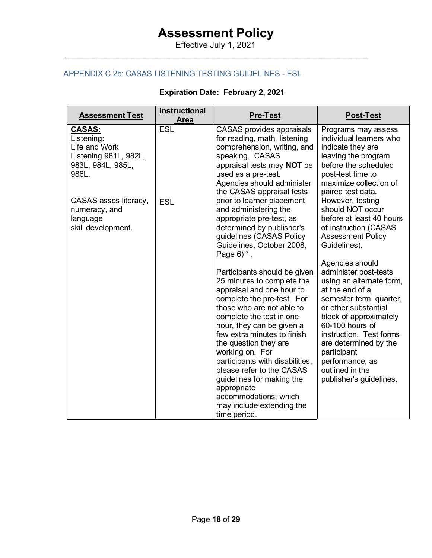Effective July 1, 2021  $\_$  , and the set of the set of the set of the set of the set of the set of the set of the set of the set of the set of the set of the set of the set of the set of the set of the set of the set of the set of the set of th

## APPENDIX C.2b: CASAS LISTENING TESTING GUIDELINES - ESL

## **Expiration Date: February 2, 2021**

<span id="page-17-0"></span>

| <b>Assessment Test</b>                                                                              | Instructional<br><b>Area</b> | <b>Pre-Test</b>                                                                                                                                                                                                                                                                        | <b>Post-Test</b>                                                                                                                                                                                                                        |
|-----------------------------------------------------------------------------------------------------|------------------------------|----------------------------------------------------------------------------------------------------------------------------------------------------------------------------------------------------------------------------------------------------------------------------------------|-----------------------------------------------------------------------------------------------------------------------------------------------------------------------------------------------------------------------------------------|
| <b>CASAS:</b><br>Listening:<br>Life and Work<br>Listening 981L, 982L,<br>983L, 984L, 985L,<br>986L. | <b>ESL</b>                   | <b>CASAS</b> provides appraisals<br>for reading, math, listening<br>comprehension, writing, and<br>speaking. CASAS<br>appraisal tests may <b>NOT</b> be<br>used as a pre-test.<br>Agencies should administer<br>the CASAS appraisal tests                                              | Programs may assess<br>individual learners who<br>indicate they are<br>leaving the program<br>before the scheduled<br>post-test time to<br>maximize collection of<br>paired test data.                                                  |
| CASAS asses literacy,<br>numeracy, and<br>language<br>skill development.                            | <b>ESL</b>                   | prior to learner placement<br>and administering the<br>appropriate pre-test, as<br>determined by publisher's<br>guidelines (CASAS Policy<br>Guidelines, October 2008,<br>Page $6$ ) $*$ .                                                                                              | However, testing<br>should NOT occur<br>before at least 40 hours<br>of instruction (CASAS<br><b>Assessment Policy</b><br>Guidelines).<br>Agencies should                                                                                |
|                                                                                                     |                              | Participants should be given<br>25 minutes to complete the<br>appraisal and one hour to<br>complete the pre-test. For<br>those who are not able to<br>complete the test in one<br>hour, they can be given a<br>few extra minutes to finish<br>the question they are<br>working on. For | administer post-tests<br>using an alternate form,<br>at the end of a<br>semester term, quarter,<br>or other substantial<br>block of approximately<br>60-100 hours of<br>instruction. Test forms<br>are determined by the<br>participant |
|                                                                                                     |                              | participants with disabilities,<br>please refer to the CASAS<br>guidelines for making the<br>appropriate<br>accommodations, which<br>may include extending the<br>time period.                                                                                                         | performance, as<br>outlined in the<br>publisher's guidelines.                                                                                                                                                                           |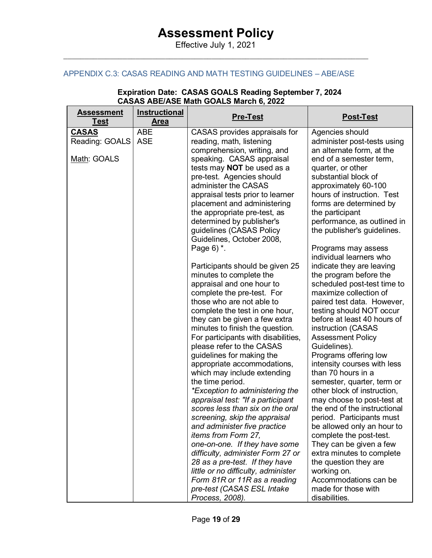Effective July 1, 2021  $\_$  , and the set of the set of the set of the set of the set of the set of the set of the set of the set of the set of the set of the set of the set of the set of the set of the set of the set of the set of the set of th

## APPENDIX C.3: CASAS READING AND MATH TESTING GUIDELINES – ABE/ASE

| <b>Assessment</b><br><b>Test</b>              | <b>Instructional</b><br><b>Area</b> | <b>Pre-Test</b>                                                                                                                                                                                                                                                                                                                                                                                                                                                                                                                                                                                                                                                                                                                                                                                                                                                                                                                                                                                                                                                                                                                                                                                                                                                                                                 | <b>Post-Test</b>                                                                                                                                                                                                                                                                                                                                                                                                                                                                                                                                                                                                                                                                                                                                                                                                                                                                                                                                                                                                                                                                                                   |
|-----------------------------------------------|-------------------------------------|-----------------------------------------------------------------------------------------------------------------------------------------------------------------------------------------------------------------------------------------------------------------------------------------------------------------------------------------------------------------------------------------------------------------------------------------------------------------------------------------------------------------------------------------------------------------------------------------------------------------------------------------------------------------------------------------------------------------------------------------------------------------------------------------------------------------------------------------------------------------------------------------------------------------------------------------------------------------------------------------------------------------------------------------------------------------------------------------------------------------------------------------------------------------------------------------------------------------------------------------------------------------------------------------------------------------|--------------------------------------------------------------------------------------------------------------------------------------------------------------------------------------------------------------------------------------------------------------------------------------------------------------------------------------------------------------------------------------------------------------------------------------------------------------------------------------------------------------------------------------------------------------------------------------------------------------------------------------------------------------------------------------------------------------------------------------------------------------------------------------------------------------------------------------------------------------------------------------------------------------------------------------------------------------------------------------------------------------------------------------------------------------------------------------------------------------------|
| <b>CASAS</b><br>Reading: GOALS<br>Math: GOALS | <b>ABE</b><br><b>ASE</b>            | CASAS provides appraisals for<br>reading, math, listening<br>comprehension, writing, and<br>speaking. CASAS appraisal<br>tests may <b>NOT</b> be used as a<br>pre-test. Agencies should<br>administer the CASAS<br>appraisal tests prior to learner<br>placement and administering<br>the appropriate pre-test, as<br>determined by publisher's<br>guidelines (CASAS Policy<br>Guidelines, October 2008,<br>Page $6$ ) $*$ .<br>Participants should be given 25<br>minutes to complete the<br>appraisal and one hour to<br>complete the pre-test. For<br>those who are not able to<br>complete the test in one hour,<br>they can be given a few extra<br>minutes to finish the question.<br>For participants with disabilities,<br>please refer to the CASAS<br>guidelines for making the<br>appropriate accommodations,<br>which may include extending<br>the time period.<br>*Exception to administering the<br>appraisal test: "If a participant<br>scores less than six on the oral<br>screening, skip the appraisal<br>and administer five practice<br>items from Form 27,<br>one-on-one. If they have some<br>difficulty, administer Form 27 or<br>28 as a pre-test. If they have<br>little or no difficulty, administer<br>Form 81R or 11R as a reading<br>pre-test (CASAS ESL Intake<br>Process, 2008). | Agencies should<br>administer post-tests using<br>an alternate form, at the<br>end of a semester term,<br>quarter, or other<br>substantial block of<br>approximately 60-100<br>hours of instruction. Test<br>forms are determined by<br>the participant<br>performance, as outlined in<br>the publisher's guidelines.<br>Programs may assess<br>individual learners who<br>indicate they are leaving<br>the program before the<br>scheduled post-test time to<br>maximize collection of<br>paired test data. However,<br>testing should NOT occur<br>before at least 40 hours of<br>instruction (CASAS<br><b>Assessment Policy</b><br>Guidelines).<br>Programs offering low<br>intensity courses with less<br>than 70 hours in a<br>semester, quarter, term or<br>other block of instruction,<br>may choose to post-test at<br>the end of the instructional<br>period. Participants must<br>be allowed only an hour to<br>complete the post-test.<br>They can be given a few<br>extra minutes to complete<br>the question they are<br>working on.<br>Accommodations can be<br>made for those with<br>disabilities. |

#### **Expiration Date: CASAS GOALS Reading September 7, 2024 CASAS ABE/ASE Math GOALS March 6, 2022**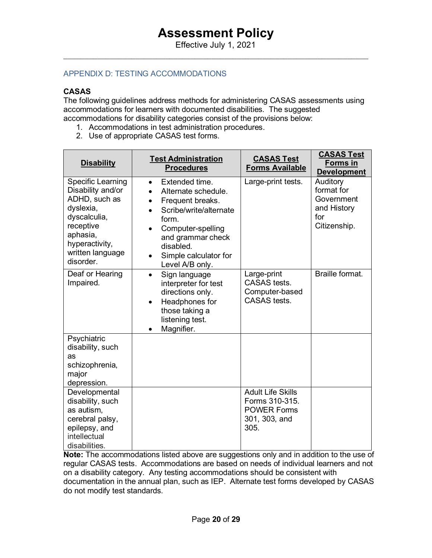## APPENDIX D: TESTING ACCOMMODATIONS

## **CASAS**

The following guidelines address methods for administering CASAS assessments using accommodations for learners with documented disabilities. The suggested accommodations for disability categories consist of the provisions below:

- 1. Accommodations in test administration procedures.
- 2. Use of appropriate CASAS test forms.

| <b>Disability</b>                                                                                                                                                | <b>Test Administration</b><br><b>Procedures</b>                                                                                                                                                                                                     | <b>CASAS Test</b><br><b>Forms Available</b>                                               | <b>CASAS Test</b><br>Forms in<br><b>Development</b>                        |
|------------------------------------------------------------------------------------------------------------------------------------------------------------------|-----------------------------------------------------------------------------------------------------------------------------------------------------------------------------------------------------------------------------------------------------|-------------------------------------------------------------------------------------------|----------------------------------------------------------------------------|
| Specific Learning<br>Disability and/or<br>ADHD, such as<br>dyslexia,<br>dyscalculia,<br>receptive<br>aphasia,<br>hyperactivity,<br>written language<br>disorder. | Extended time.<br>$\bullet$<br>Alternate schedule.<br>$\bullet$<br>Frequent breaks.<br>$\bullet$<br>Scribe/write/alternate<br>form.<br>Computer-spelling<br>and grammar check<br>disabled.<br>Simple calculator for<br>$\bullet$<br>Level A/B only. | Large-print tests.                                                                        | Auditory<br>format for<br>Government<br>and History<br>for<br>Citizenship. |
| Deaf or Hearing<br>Impaired.                                                                                                                                     | Sign language<br>$\bullet$<br>interpreter for test<br>directions only.<br>Headphones for<br>$\bullet$<br>those taking a<br>listening test.<br>Magnifier.<br>$\bullet$                                                                               | Large-print<br><b>CASAS</b> tests.<br>Computer-based<br>CASAS tests.                      | Braille format.                                                            |
| Psychiatric<br>disability, such<br>as<br>schizophrenia,<br>major<br>depression.                                                                                  |                                                                                                                                                                                                                                                     |                                                                                           |                                                                            |
| Developmental<br>disability, such<br>as autism,<br>cerebral palsy,<br>epilepsy, and<br>intellectual<br>disabilities.                                             |                                                                                                                                                                                                                                                     | <b>Adult Life Skills</b><br>Forms 310-315.<br><b>POWER Forms</b><br>301, 303, and<br>305. |                                                                            |

**Note:** The accommodations listed above are suggestions only and in addition to the use of regular CASAS tests. Accommodations are based on needs of individual learners and not on a disability category. Any testing accommodations should be consistent with documentation in the annual plan, such as IEP. Alternate test forms developed by CASAS do not modify test standards.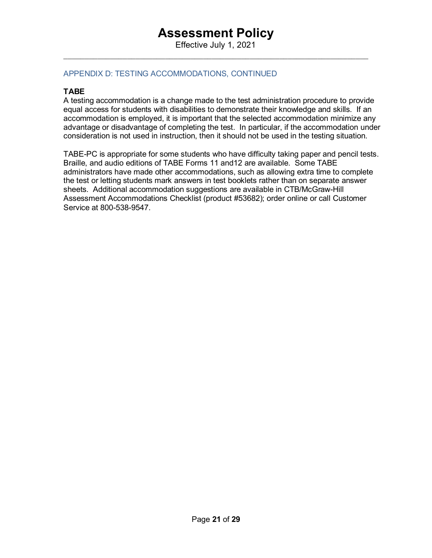Effective July 1, 2021  $\_$  , and the set of the set of the set of the set of the set of the set of the set of the set of the set of the set of the set of the set of the set of the set of the set of the set of the set of the set of the set of th

## APPENDIX D: TESTING ACCOMMODATIONS, CONTINUED

### **TABE**

A testing accommodation is a change made to the test administration procedure to provide equal access for students with disabilities to demonstrate their knowledge and skills. If an accommodation is employed, it is important that the selected accommodation minimize any advantage or disadvantage of completing the test. In particular, if the accommodation under consideration is not used in instruction, then it should not be used in the testing situation.

<span id="page-20-0"></span>TABE-PC is appropriate for some students who have difficulty taking paper and pencil tests. Braille, and audio editions of TABE Forms 11 and12 are available. Some TABE administrators have made other accommodations, such as allowing extra time to complete the test or letting students mark answers in test booklets rather than on separate answer sheets. Additional accommodation suggestions are available in CTB/McGraw-Hill Assessment Accommodations Checklist (product #53682); order online or call Customer Service at 800-538-9547.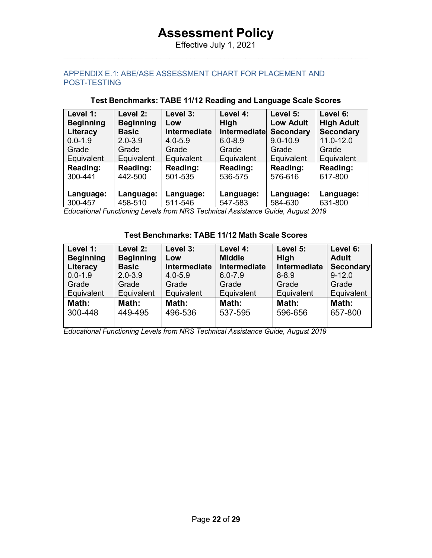Effective July 1, 2021  $\_$  , and the set of the set of the set of the set of the set of the set of the set of the set of the set of the set of the set of the set of the set of the set of the set of the set of the set of the set of the set of th

## APPENDIX E.1: ABE/ASE ASSESSMENT CHART FOR PLACEMENT AND POST-TESTING

| Level 1:         | Level 2:         | Level 3:     | Level 4:     | Level 5:         | Level 6:          |
|------------------|------------------|--------------|--------------|------------------|-------------------|
| <b>Beginning</b> | <b>Beginning</b> | Low          | <b>High</b>  | <b>Low Adult</b> | <b>High Adult</b> |
| Literacy         | <b>Basic</b>     | Intermediate | Intermediate | <b>Secondary</b> | <b>Secondary</b>  |
| $0.0 - 1.9$      | $2.0 - 3.9$      | $4.0 - 5.9$  | $6.0 - 8.9$  | $9.0 - 10.9$     | 11.0-12.0         |
| Grade            | Grade            | Grade        | Grade        | Grade            | Grade             |
| Equivalent       | Equivalent       | Equivalent   | Equivalent   | Equivalent       | Equivalent        |
| Reading:         | <b>Reading:</b>  | Reading:     | Reading:     | Reading:         | Reading:          |
| 300-441          | 442-500          | 501-535      | 536-575      | 576-616          | 617-800           |
| Language:        | Language:        | Language:    | Language:    | Language:        | Language:         |
| 300-457          | 458-510          | 511-546      | 547-583      | 584-630          | 631-800           |

## **Test Benchmarks: TABE 11/12 Reading and Language Scale Scores**

*Educational Functioning Levels from NRS Technical Assistance Guide, August 2019*

### **Test Benchmarks: TABE 11/12 Math Scale Scores**

| Level 1:<br><b>Beginning</b> | Level 2:<br><b>Beginning</b> | Level 3:<br>Low | Level 4:<br><b>Middle</b> | Level 5:<br><b>High</b> | Level 6:<br><b>Adult</b> |
|------------------------------|------------------------------|-----------------|---------------------------|-------------------------|--------------------------|
| Literacy                     | <b>Basic</b>                 | Intermediate    | Intermediate              | Intermediate            | Secondary                |
| $0.0 - 1.9$                  | $2.0 - 3.9$                  | $4.0 - 5.9$     | $6.0 - 7.9$               | $8 - 8.9$               | $9 - 12.0$               |
| Grade                        | Grade                        | Grade           | Grade                     | Grade                   | Grade                    |
| Equivalent                   | Equivalent                   | Equivalent      | Equivalent                | Equivalent              | Equivalent               |
| Math:                        | Math:                        | Math:           | Math:                     | Math:                   | Math:                    |
| 300-448                      | 449-495                      | 496-536         | 537-595                   | 596-656                 | 657-800                  |
|                              |                              |                 |                           |                         |                          |

*Educational Functioning Levels from NRS Technical Assistance Guide, August 2019*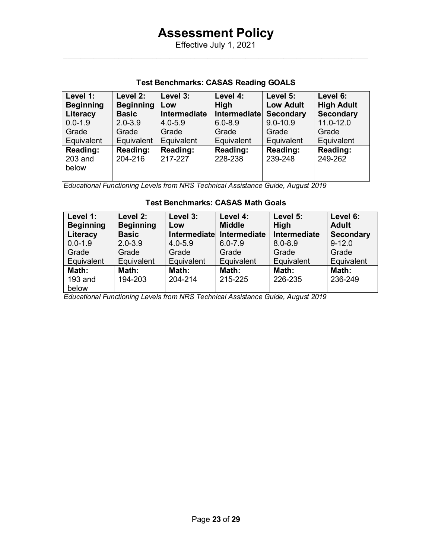## **Test Benchmarks: CASAS Reading GOALS**

| Level 1:         | Level 2:         | Level 3:     | Level 4:     | Level 5:         | Level 6:          |
|------------------|------------------|--------------|--------------|------------------|-------------------|
| <b>Beginning</b> | <b>Beginning</b> | Low          | High         | <b>Low Adult</b> | <b>High Adult</b> |
| Literacy         | <b>Basic</b>     | Intermediate | Intermediate | <b>Secondary</b> | <b>Secondary</b>  |
| $0.0 - 1.9$      | $2.0 - 3.9$      | $4.0 - 5.9$  | $6.0 - 8.9$  | $9.0 - 10.9$     | $11.0 - 12.0$     |
| Grade            | Grade            | Grade        | Grade        | Grade            | Grade             |
| Equivalent       | Equivalent       | Equivalent   | Equivalent   | Equivalent       | Equivalent        |
| <b>Reading:</b>  | <b>Reading:</b>  | Reading:     | Reading:     | Reading:         | Reading:          |
| 203 and          | 204-216          | 217-227      | 228-238      | 239-248          | 249-262           |
| below            |                  |              |              |                  |                   |
|                  |                  |              |              |                  |                   |

*Educational Functioning Levels from NRS Technical Assistance Guide, August 2019*

## **Test Benchmarks: CASAS Math Goals**

| Level 1:<br><b>Beginning</b> | Level 2:<br><b>Beginning</b> | Level 3:<br>Low | Level 4:<br><b>Middle</b> | Level 5:<br><b>High</b> | Level 6:<br><b>Adult</b> |
|------------------------------|------------------------------|-----------------|---------------------------|-------------------------|--------------------------|
| Literacy                     | <b>Basic</b>                 | Intermediate    | Intermediate              | Intermediate            | <b>Secondary</b>         |
| $0.0 - 1.9$                  | $2.0 - 3.9$                  | $4.0 - 5.9$     | $6.0 - 7.9$               | $8.0 - 8.9$             | $9 - 12.0$               |
| Grade                        | Grade                        | Grade           | Grade                     | Grade                   | Grade                    |
| Equivalent                   | Equivalent                   | Equivalent      | Equivalent                | Equivalent              | Equivalent               |
| Math:                        | Math:                        | Math:           | Math:                     | Math:                   | Math:                    |
| 193 and                      | 194-203                      | 204-214         | 215-225                   | 226-235                 | 236-249                  |
| below                        |                              |                 |                           |                         |                          |

*Educational Functioning Levels from NRS Technical Assistance Guide, August 2019*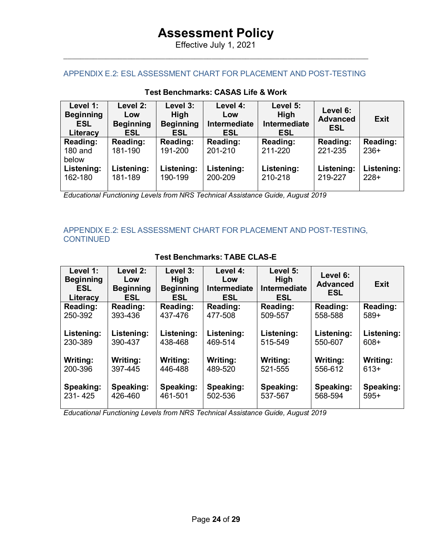Effective July 1, 2021  $\_$  , and the set of the set of the set of the set of the set of the set of the set of the set of the set of the set of the set of the set of the set of the set of the set of the set of the set of the set of the set of th

### APPENDIX E.2: ESL ASSESSMENT CHART FOR PLACEMENT AND POST-TESTING

| Level 1:<br><b>Beginning</b><br><b>ESL</b><br>Literacy | Level 2:<br>Low<br><b>Beginning</b><br><b>ESL</b> | Level 3:<br>High<br><b>Beginning</b><br><b>ESL</b> | Level 4:<br>Low<br>Intermediate<br><b>ESL</b> | Level 5:<br><b>High</b><br>Intermediate<br><b>ESL</b> | Level 6:<br><b>Advanced</b><br><b>ESL</b> | <b>Exit</b>          |
|--------------------------------------------------------|---------------------------------------------------|----------------------------------------------------|-----------------------------------------------|-------------------------------------------------------|-------------------------------------------|----------------------|
| Reading:<br>$180$ and                                  | Reading:<br>181-190                               | <b>Reading:</b><br>191-200                         | Reading:<br>201-210                           | Reading:<br>211-220                                   | Reading:<br>221-235                       | Reading:<br>$236+$   |
| below<br>Listening:<br>162-180                         | Listening:<br>181-189                             | Listening:<br>190-199                              | Listening:<br>200-209                         | Listening:<br>210-218                                 | Listening:<br>219-227                     | Listening:<br>$228+$ |

#### **Test Benchmarks: CASAS Life & Work**

*Educational Functioning Levels from NRS Technical Assistance Guide, August 2019*

## APPENDIX E.2: ESL ASSESSMENT CHART FOR PLACEMENT AND POST-TESTING, **CONTINUED**

| Level 1:<br><b>Beginning</b><br><b>ESL</b><br>Literacy | Level 2:<br>Low<br><b>Beginning</b><br><b>ESL</b> | Level 3:<br>High<br><b>Beginning</b><br><b>ESL</b> | Level 4:<br>Low<br><b>Intermediate</b><br><b>ESL</b> | Level 5:<br><b>High</b><br><b>Intermediate</b><br><b>ESL</b> | Level 6:<br><b>Advanced</b><br><b>ESL</b> | <b>Exit</b> |
|--------------------------------------------------------|---------------------------------------------------|----------------------------------------------------|------------------------------------------------------|--------------------------------------------------------------|-------------------------------------------|-------------|
| Reading:                                               | Reading:                                          | <b>Reading:</b>                                    | Reading:                                             | Reading:                                                     | Reading:                                  | Reading:    |
| 250-392                                                | 393-436                                           | 437-476                                            | 477-508                                              | 509-557                                                      | 558-588                                   | $589+$      |
| Listening:                                             | Listening:                                        | Listening:                                         | Listening:                                           | Listening:                                                   | Listening:                                | Listening:  |
| 230-389                                                | 390-437                                           | 438-468                                            | 469-514                                              | 515-549                                                      | 550-607                                   | $608+$      |
| <b>Writing:</b>                                        | Writing:                                          | Writing:                                           | Writing:                                             | Writing:                                                     | Writing:                                  | Writing:    |
| 200-396                                                | 397-445                                           | 446-488                                            | 489-520                                              | 521-555                                                      | 556-612                                   | $613+$      |
| Speaking:                                              | Speaking:                                         | Speaking:                                          | Speaking:                                            | Speaking:                                                    | Speaking:                                 | Speaking:   |
| 231-425                                                | 426-460                                           | 461-501                                            | 502-536                                              | 537-567                                                      | 568-594                                   | $595+$      |

## **Test Benchmarks: TABE CLAS-E**

<span id="page-23-0"></span>*Educational Functioning Levels from NRS Technical Assistance Guide, August 2019*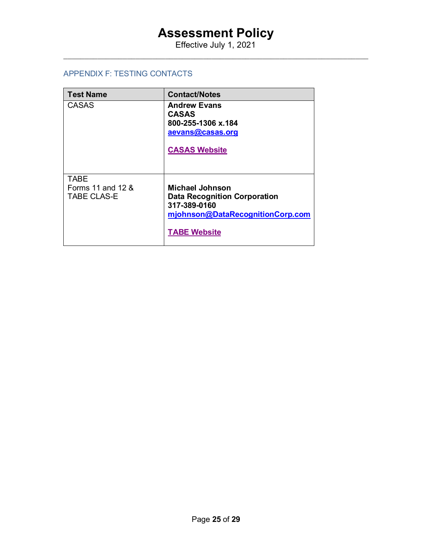Effective July 1, 2021  $\_$  , and the set of the set of the set of the set of the set of the set of the set of the set of the set of the set of the set of the set of the set of the set of the set of the set of the set of the set of the set of th

### APPENDIX F: TESTING CONTACTS

| <b>Test Name</b>                                       | <b>Contact/Notes</b>                                                                                                                     |
|--------------------------------------------------------|------------------------------------------------------------------------------------------------------------------------------------------|
| <b>CASAS</b>                                           | <b>Andrew Evans</b><br><b>CASAS</b><br>800-255-1306 x.184<br>aevans@casas.org<br><b>CASAS Website</b>                                    |
| <b>TABE</b><br>Forms 11 and 12 &<br><b>TABE CLAS-E</b> | <b>Michael Johnson</b><br><b>Data Recognition Corporation</b><br>317-389-0160<br>mjohnson@DataRecognitionCorp.com<br><b>TABE Website</b> |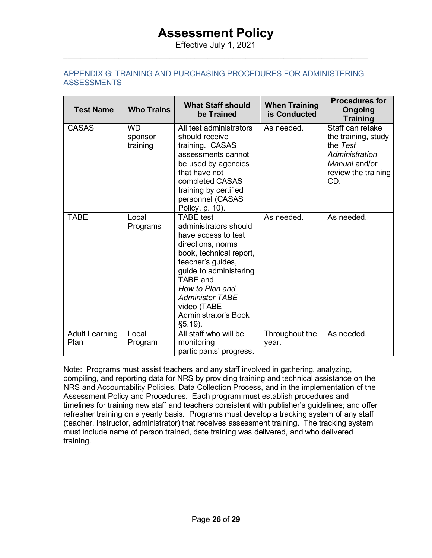Effective July 1, 2021  $\_$  , and the set of the set of the set of the set of the set of the set of the set of the set of the set of the set of the set of the set of the set of the set of the set of the set of the set of the set of the set of th

## <span id="page-25-0"></span>APPENDIX G: TRAINING AND PURCHASING PROCEDURES FOR ADMINISTERING **ASSESSMENTS**

| <b>Test Name</b>              | <b>Who Trains</b>                | <b>What Staff should</b><br>be Trained                                                                                                                                                                                                                                                      | <b>When Training</b><br>is Conducted | <b>Procedures for</b><br>Ongoing<br><b>Training</b>                                                                  |
|-------------------------------|----------------------------------|---------------------------------------------------------------------------------------------------------------------------------------------------------------------------------------------------------------------------------------------------------------------------------------------|--------------------------------------|----------------------------------------------------------------------------------------------------------------------|
| <b>CASAS</b>                  | <b>WD</b><br>sponsor<br>training | All test administrators<br>should receive<br>training. CASAS<br>assessments cannot<br>be used by agencies<br>that have not<br>completed CASAS<br>training by certified<br>personnel (CASAS<br>Policy, p. 10).                                                                               | As needed.                           | Staff can retake<br>the training, study<br>the Test<br>Administration<br>Manual and/or<br>review the training<br>CD. |
| <b>TABE</b>                   | Local<br>Programs                | <b>TABE</b> test<br>administrators should<br>have access to test<br>directions, norms<br>book, technical report,<br>teacher's guides,<br>guide to administering<br><b>TABE</b> and<br>How to Plan and<br><b>Administer TABE</b><br>video (TABE<br><b>Administrator's Book</b><br>$§5.19$ ). | As needed.                           | As needed.                                                                                                           |
| <b>Adult Learning</b><br>Plan | Local<br>Program                 | All staff who will be<br>monitoring<br>participants' progress.                                                                                                                                                                                                                              | Throughout the<br>year.              | As needed.                                                                                                           |

<span id="page-25-1"></span>Note: Programs must assist teachers and any staff involved in gathering, analyzing, compiling, and reporting data for NRS by providing training and technical assistance on the NRS and Accountability Policies, Data Collection Process, and in the implementation of the Assessment Policy and Procedures. Each program must establish procedures and timelines for training new staff and teachers consistent with publisher's guidelines; and offer refresher training on a yearly basis. Programs must develop a tracking system of any staff (teacher, instructor, administrator) that receives assessment training. The tracking system must include name of person trained, date training was delivered, and who delivered training.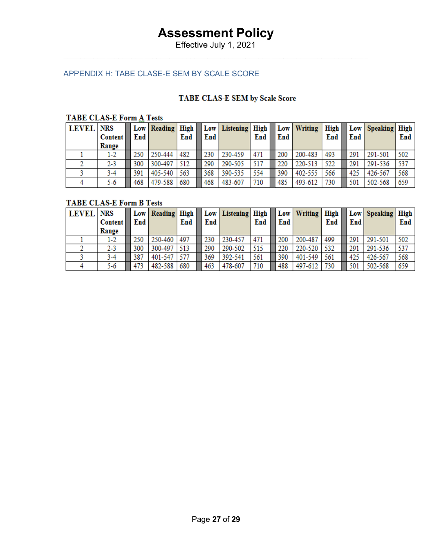Effective July 1, 2021  $\_$  , and the set of the set of the set of the set of the set of the set of the set of the set of the set of the set of the set of the set of the set of the set of the set of the set of the set of the set of the set of th

## APPENDIX H: TABE CLASE-E SEM BY SCALE SCORE

## TABE CLAS-E SEM by Scale Score

## **TABE CLAS-E Form A Tests**

| <b>LEVEL</b> | <b>NRS</b><br><b>Content</b><br>Range | End | Low   Reading   High | End | End | Low   Listening   High | End | End | Low   Writing | High $\vert$<br>End | End | Low   Speaking   High | End |
|--------------|---------------------------------------|-----|----------------------|-----|-----|------------------------|-----|-----|---------------|---------------------|-----|-----------------------|-----|
|              | 1-2                                   | 250 | 250-444              | 482 | 230 | 230-459                | 471 | 200 | 200-483       | 493                 | 291 | 291-501               | 502 |
|              | $2 - 3$                               | 300 | 300-497              | 512 | 290 | 290-505                | 517 | 220 | 220-513       | 522                 | 291 | 291-536               | 537 |
|              | 3-4                                   | 391 | 405-540              | 563 | 368 | 390-535                | 554 | 390 | 402-555       | 566                 | 425 | 426-567               | 568 |
|              | 5-6                                   | 468 | 479-588              | 680 | 468 | 483-607                | 710 | 485 | 493-612       | 730                 | 501 | 502-568               | 659 |

## **TABE CLAS-E Form B Tests**

| <b>LEVEL</b> NRS | <b>Content</b> | End | Low   Reading   High | End | End | Low   Listening   High | End | End | Low Writing High | End | End | Low Speaking High | End |
|------------------|----------------|-----|----------------------|-----|-----|------------------------|-----|-----|------------------|-----|-----|-------------------|-----|
|                  | Range          |     |                      |     |     |                        |     |     |                  |     |     |                   |     |
|                  | 1-2            | 250 | 250-460              | 497 | 230 | 230-457                | 471 | 200 | 200-487          | 499 | 291 | 291-501           | 502 |
|                  | 2-3            | 300 | 300-497              | 513 | 290 | 290-502                | 515 | 220 | 220-520          | 532 | 291 | 291-536           | 537 |
|                  | 3-4            | 387 | 401-547              |     | 369 | 392-541                | 561 | 390 | 401-549          | 561 | 425 | 426-567           | 568 |
|                  | 5-6            | 473 | 482-588              | 680 | 463 | 478-607                | 710 | 488 | 497-612          | 730 | 501 | 502-568           | 659 |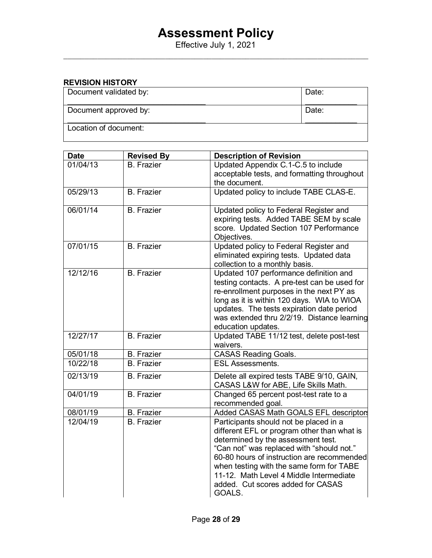Effective July 1, 2021  $\_$  , and the set of the set of the set of the set of the set of the set of the set of the set of the set of the set of the set of the set of the set of the set of the set of the set of the set of the set of the set of th

#### **REVISION HISTORY** Document validated by: \_\_\_\_\_\_\_\_\_\_\_\_\_\_\_\_\_\_\_\_\_\_\_\_\_\_\_\_\_\_\_\_ Date:  $\mathcal{L}$  . The set of the set of the set of the set of the set of the set of the set of the set of the set of the set of the set of the set of the set of the set of the set of the set of the set of the set of the set of t Document approved by: \_\_\_\_\_\_\_\_\_\_\_\_\_\_\_\_\_\_\_\_\_\_\_\_\_\_\_\_\_\_\_\_ Date:  $\mathcal{L}$  . The set of the set of the set of the set of the set of the set of the set of the set of the set of the set of the set of the set of the set of the set of the set of the set of the set of the set of the set of t Location of document:

| <b>Date</b> | <b>Revised By</b> | <b>Description of Revision</b>                                                                                                                                                                                                                                                                                                                               |
|-------------|-------------------|--------------------------------------------------------------------------------------------------------------------------------------------------------------------------------------------------------------------------------------------------------------------------------------------------------------------------------------------------------------|
| 01/04/13    | <b>B.</b> Frazier | Updated Appendix C.1-C.5 to include                                                                                                                                                                                                                                                                                                                          |
|             |                   | acceptable tests, and formatting throughout                                                                                                                                                                                                                                                                                                                  |
|             |                   | the document.                                                                                                                                                                                                                                                                                                                                                |
| 05/29/13    | <b>B.</b> Frazier | Updated policy to include TABE CLAS-E.                                                                                                                                                                                                                                                                                                                       |
| 06/01/14    | <b>B.</b> Frazier | Updated policy to Federal Register and<br>expiring tests. Added TABE SEM by scale<br>score. Updated Section 107 Performance<br>Objectives.                                                                                                                                                                                                                   |
| 07/01/15    | <b>B.</b> Frazier | Updated policy to Federal Register and<br>eliminated expiring tests. Updated data<br>collection to a monthly basis.                                                                                                                                                                                                                                          |
| 12/12/16    | <b>B.</b> Frazier | Updated 107 performance definition and<br>testing contacts. A pre-test can be used for<br>re-enrollment purposes in the next PY as<br>long as it is within 120 days. WIA to WIOA<br>updates. The tests expiration date period<br>was extended thru 2/2/19. Distance learning<br>education updates.                                                           |
| 12/27/17    | <b>B.</b> Frazier | Updated TABE 11/12 test, delete post-test<br>waivers.                                                                                                                                                                                                                                                                                                        |
| 05/01/18    | <b>B.</b> Frazier | <b>CASAS Reading Goals.</b>                                                                                                                                                                                                                                                                                                                                  |
| 10/22/18    | <b>B.</b> Frazier | <b>ESL Assessments.</b>                                                                                                                                                                                                                                                                                                                                      |
| 02/13/19    | <b>B.</b> Frazier | Delete all expired tests TABE 9/10, GAIN,<br>CASAS L&W for ABE, Life Skills Math.                                                                                                                                                                                                                                                                            |
| 04/01/19    | <b>B.</b> Frazier | Changed 65 percent post-test rate to a<br>recommended goal.                                                                                                                                                                                                                                                                                                  |
| 08/01/19    | <b>B.</b> Frazier | Added CASAS Math GOALS EFL descriptors                                                                                                                                                                                                                                                                                                                       |
| 12/04/19    | <b>B.</b> Frazier | Participants should not be placed in a<br>different EFL or program other than what is<br>determined by the assessment test.<br>"Can not" was replaced with "should not."<br>60-80 hours of instruction are recommended<br>when testing with the same form for TABE<br>11-12. Math Level 4 Middle Intermediate<br>added. Cut scores added for CASAS<br>GOALS. |